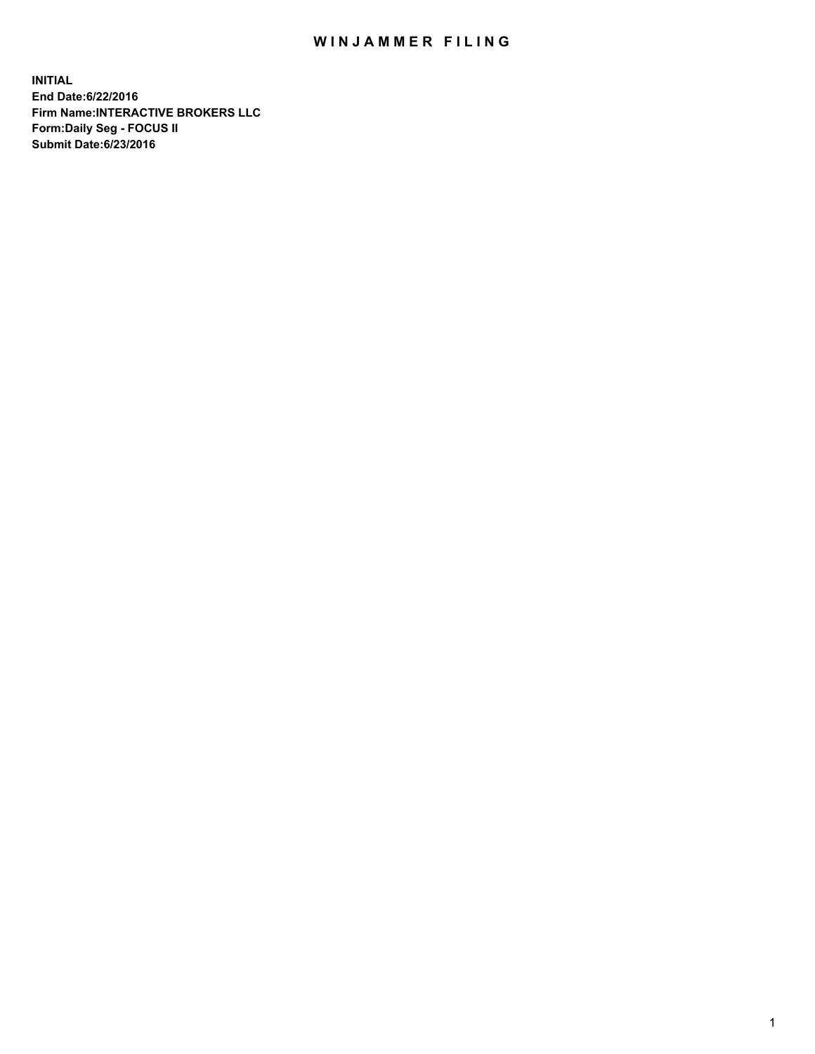## WIN JAMMER FILING

**INITIAL End Date:6/22/2016 Firm Name:INTERACTIVE BROKERS LLC Form:Daily Seg - FOCUS II Submit Date:6/23/2016**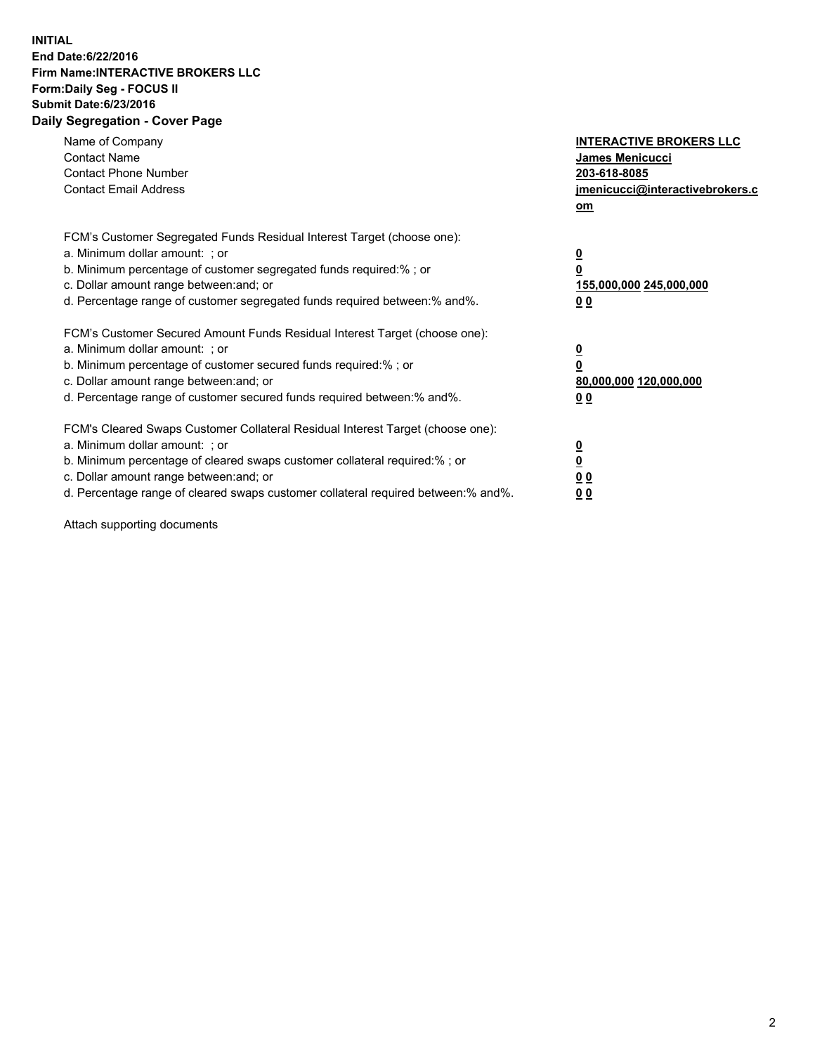## **INITIAL End Date:6/22/2016 Firm Name:INTERACTIVE BROKERS LLC Form:Daily Seg - FOCUS II Submit Date:6/23/2016 Daily Segregation - Cover Page**

| Name of Company<br><b>Contact Name</b><br><b>Contact Phone Number</b><br><b>Contact Email Address</b>                                                                                                                                                                                                                          | <b>INTERACTIVE BROKERS LLC</b><br><b>James Menicucci</b><br>203-618-8085<br>jmenicucci@interactivebrokers.c<br>om |
|--------------------------------------------------------------------------------------------------------------------------------------------------------------------------------------------------------------------------------------------------------------------------------------------------------------------------------|-------------------------------------------------------------------------------------------------------------------|
| FCM's Customer Segregated Funds Residual Interest Target (choose one):<br>a. Minimum dollar amount: ; or<br>b. Minimum percentage of customer segregated funds required:% ; or<br>c. Dollar amount range between: and; or<br>d. Percentage range of customer segregated funds required between: % and %.                       | $\overline{\mathbf{0}}$<br>0<br>155,000,000 245,000,000<br>00                                                     |
| FCM's Customer Secured Amount Funds Residual Interest Target (choose one):<br>a. Minimum dollar amount: ; or<br>b. Minimum percentage of customer secured funds required:%; or<br>c. Dollar amount range between: and; or<br>d. Percentage range of customer secured funds required between: % and %.                          | $\overline{\mathbf{0}}$<br>0<br>80,000,000 120,000,000<br>00                                                      |
| FCM's Cleared Swaps Customer Collateral Residual Interest Target (choose one):<br>a. Minimum dollar amount: ; or<br>b. Minimum percentage of cleared swaps customer collateral required:% ; or<br>c. Dollar amount range between: and; or<br>d. Percentage range of cleared swaps customer collateral required between:% and%. | $\overline{\mathbf{0}}$<br>$\overline{\mathbf{0}}$<br>00<br>0 <sub>0</sub>                                        |

Attach supporting documents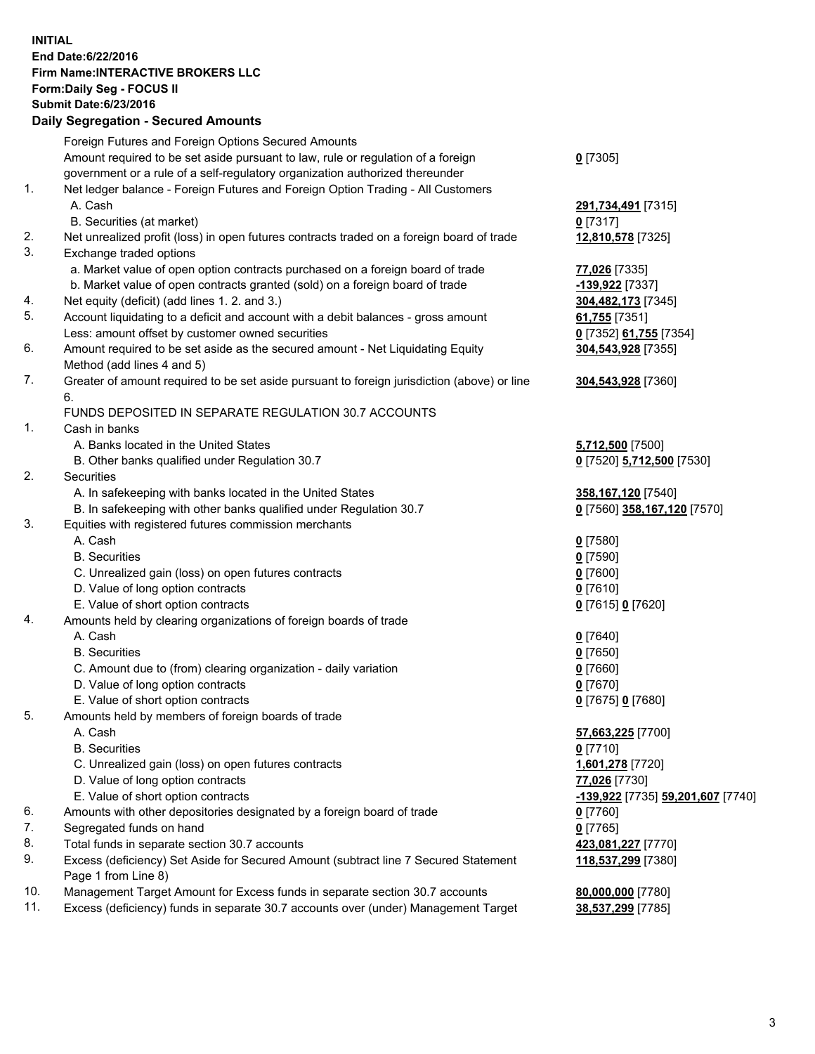## **INITIAL End Date:6/22/2016 Firm Name:INTERACTIVE BROKERS LLC Form:Daily Seg - FOCUS II Submit Date:6/23/2016 Daily Segregation - Secured Amounts**

|     | Daily Ocglegation - Occured Aniounts                                                        |                                   |
|-----|---------------------------------------------------------------------------------------------|-----------------------------------|
|     | Foreign Futures and Foreign Options Secured Amounts                                         |                                   |
|     | Amount required to be set aside pursuant to law, rule or regulation of a foreign            | $0$ [7305]                        |
|     | government or a rule of a self-regulatory organization authorized thereunder                |                                   |
| 1.  | Net ledger balance - Foreign Futures and Foreign Option Trading - All Customers             |                                   |
|     | A. Cash                                                                                     | 291,734,491 [7315]                |
|     | B. Securities (at market)                                                                   | $0$ [7317]                        |
| 2.  | Net unrealized profit (loss) in open futures contracts traded on a foreign board of trade   | 12,810,578 [7325]                 |
| 3.  | Exchange traded options                                                                     |                                   |
|     | a. Market value of open option contracts purchased on a foreign board of trade              | 77,026 [7335]                     |
|     | b. Market value of open contracts granted (sold) on a foreign board of trade                | -139,922 [7337]                   |
| 4.  | Net equity (deficit) (add lines 1.2. and 3.)                                                | 304,482,173 [7345]                |
| 5.  | Account liquidating to a deficit and account with a debit balances - gross amount           | 61,755 [7351]                     |
|     | Less: amount offset by customer owned securities                                            | 0 [7352] 61,755 [7354]            |
| 6.  | Amount required to be set aside as the secured amount - Net Liquidating Equity              | 304,543,928 [7355]                |
|     | Method (add lines 4 and 5)                                                                  |                                   |
| 7.  |                                                                                             |                                   |
|     | Greater of amount required to be set aside pursuant to foreign jurisdiction (above) or line | 304,543,928 [7360]                |
|     | 6.                                                                                          |                                   |
|     | FUNDS DEPOSITED IN SEPARATE REGULATION 30.7 ACCOUNTS                                        |                                   |
| 1.  | Cash in banks                                                                               |                                   |
|     | A. Banks located in the United States                                                       | 5,712,500 [7500]                  |
|     | B. Other banks qualified under Regulation 30.7                                              | 0 [7520] 5,712,500 [7530]         |
| 2.  | <b>Securities</b>                                                                           |                                   |
|     | A. In safekeeping with banks located in the United States                                   | 358,167,120 [7540]                |
|     | B. In safekeeping with other banks qualified under Regulation 30.7                          | 0 [7560] 358,167,120 [7570]       |
| 3.  | Equities with registered futures commission merchants                                       |                                   |
|     | A. Cash                                                                                     | $0$ [7580]                        |
|     | <b>B.</b> Securities                                                                        | $0$ [7590]                        |
|     | C. Unrealized gain (loss) on open futures contracts                                         | $0$ [7600]                        |
|     | D. Value of long option contracts                                                           | $0$ [7610]                        |
|     | E. Value of short option contracts                                                          | 0 [7615] 0 [7620]                 |
| 4.  | Amounts held by clearing organizations of foreign boards of trade                           |                                   |
|     | A. Cash                                                                                     | $0$ [7640]                        |
|     | <b>B.</b> Securities                                                                        | $0$ [7650]                        |
|     | C. Amount due to (from) clearing organization - daily variation                             | $0$ [7660]                        |
|     | D. Value of long option contracts                                                           | $0$ [7670]                        |
|     | E. Value of short option contracts                                                          | 0 [7675] 0 [7680]                 |
| 5.  | Amounts held by members of foreign boards of trade                                          |                                   |
|     | A. Cash                                                                                     | 57,663,225 [7700]                 |
|     | <b>B.</b> Securities                                                                        | $0$ [7710]                        |
|     | C. Unrealized gain (loss) on open futures contracts                                         | 1,601,278 [7720]                  |
|     | D. Value of long option contracts                                                           | 77,026 [7730]                     |
|     | E. Value of short option contracts                                                          | -139,922 [7735] 59,201,607 [7740] |
| 6.  | Amounts with other depositories designated by a foreign board of trade                      | 0 [7760]                          |
| 7.  | Segregated funds on hand                                                                    | $0$ [7765]                        |
| 8.  | Total funds in separate section 30.7 accounts                                               | 423,081,227 [7770]                |
| 9.  | Excess (deficiency) Set Aside for Secured Amount (subtract line 7 Secured Statement         | 118,537,299 [7380]                |
|     | Page 1 from Line 8)                                                                         |                                   |
| 10. | Management Target Amount for Excess funds in separate section 30.7 accounts                 | 80,000,000 [7780]                 |
| 11. | Excess (deficiency) funds in separate 30.7 accounts over (under) Management Target          | 38,537,299 [7785]                 |
|     |                                                                                             |                                   |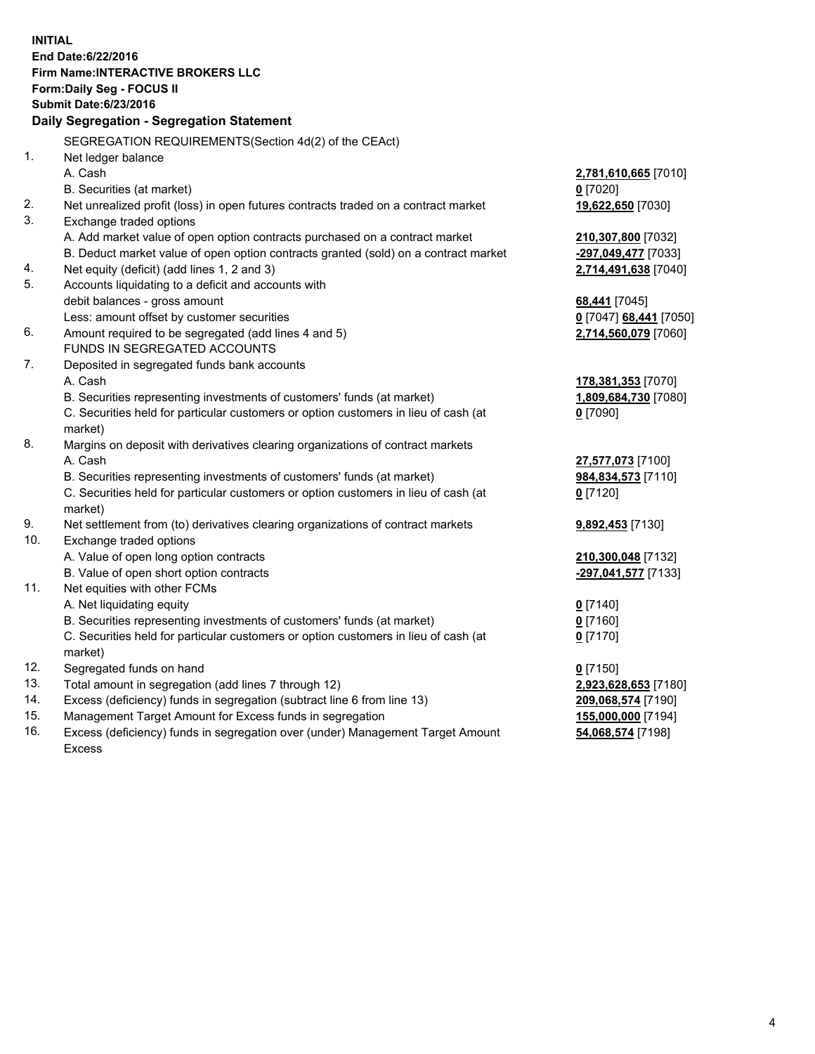**INITIAL End Date:6/22/2016 Firm Name:INTERACTIVE BROKERS LLC Form:Daily Seg - FOCUS II Submit Date:6/23/2016 Daily Segregation - Segregation Statement** SEGREGATION REQUIREMENTS(Section 4d(2) of the CEAct) 1. Net ledger balance A. Cash **2,781,610,665** [7010] B. Securities (at market) **0** [7020] 2. Net unrealized profit (loss) in open futures contracts traded on a contract market **19,622,650** [7030] 3. Exchange traded options A. Add market value of open option contracts purchased on a contract market **210,307,800** [7032] B. Deduct market value of open option contracts granted (sold) on a contract market **-297,049,477** [7033] 4. Net equity (deficit) (add lines 1, 2 and 3) **2,714,491,638** [7040] 5. Accounts liquidating to a deficit and accounts with debit balances - gross amount **68,441** [7045] Less: amount offset by customer securities **0** [7047] **68,441** [7050] 6. Amount required to be segregated (add lines 4 and 5) **2,714,560,079** [7060] FUNDS IN SEGREGATED ACCOUNTS 7. Deposited in segregated funds bank accounts A. Cash **178,381,353** [7070] B. Securities representing investments of customers' funds (at market) **1,809,684,730** [7080] C. Securities held for particular customers or option customers in lieu of cash (at market) **0** [7090] 8. Margins on deposit with derivatives clearing organizations of contract markets A. Cash **27,577,073** [7100] B. Securities representing investments of customers' funds (at market) **984,834,573** [7110] C. Securities held for particular customers or option customers in lieu of cash (at market) **0** [7120] 9. Net settlement from (to) derivatives clearing organizations of contract markets **9,892,453** [7130] 10. Exchange traded options A. Value of open long option contracts **210,300,048** [7132] B. Value of open short option contracts **-297,041,577** [7133] 11. Net equities with other FCMs A. Net liquidating equity **0** [7140] B. Securities representing investments of customers' funds (at market) **0** [7160] C. Securities held for particular customers or option customers in lieu of cash (at market) **0** [7170] 12. Segregated funds on hand **0** [7150] 13. Total amount in segregation (add lines 7 through 12) **2,923,628,653** [7180] 14. Excess (deficiency) funds in segregation (subtract line 6 from line 13) **209,068,574** [7190] 15. Management Target Amount for Excess funds in segregation **155,000,000** [7194]

16. Excess (deficiency) funds in segregation over (under) Management Target Amount Excess

**54,068,574** [7198]